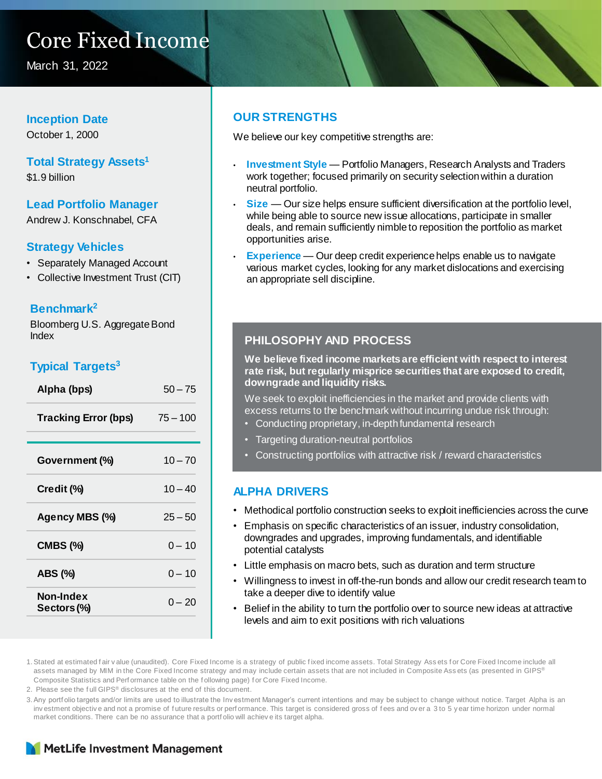## Core Fixed Income

March 31, 2022

#### **Inception Date**

October 1, 2000

#### **Total Strategy Assets<sup>1</sup>**

\$1.9 billion

#### **Lead Portfolio Manager**

Andrew J. Konschnabel, CFA

#### **Strategy Vehicles**

- Separately Managed Account
- Collective Investment Trust (CIT)

#### **Benchmark<sup>2</sup>**

Bloomberg U.S. Aggregate Bond Index

#### **Typical Targets<sup>3</sup>**

| Alpha (bps)                 | $50 - 75$  |
|-----------------------------|------------|
| <b>Tracking Error (bps)</b> | $75 - 100$ |
| Government (%)              | $10 - 70$  |
| Credit (%)                  | $10 - 40$  |
| Agency MBS (%)              | $25 - 50$  |
| <b>CMBS (%)</b>             | $0 - 10$   |
| ABS (%)                     | $0 - 10$   |
| Non-Index<br>Sectors (%)    | $0 - 20$   |

#### **OUR STRENGTHS**

We believe our key competitive strengths are:

- **Investment Style**  Portfolio Managers, Research Analysts and Traders work together; focused primarily on security selection within a duration neutral portfolio.
- **Size** Our size helps ensure sufficient diversification at the portfolio level, while being able to source new issue allocations, participate in smaller deals, and remain sufficiently nimble to reposition the portfolio as market opportunities arise.
- **Experience** Our deep credit experience helps enable us to navigate various market cycles, looking for any market dislocations and exercising an appropriate sell discipline.

#### **PHILOSOPHY AND PROCESS**

**We believe fixed income markets are efficient with respect to interest rate risk, but regularly misprice securities that are exposed to credit, downgrade and liquidity risks.** 

We seek to exploit inefficiencies in the market and provide clients with excess returns to the benchmark without incurring undue risk through:

- Conducting proprietary, in-depth fundamental research
- Targeting duration-neutral portfolios
- Constructing portfolios with attractive risk / reward characteristics

#### **ALPHA DRIVERS**

- Methodical portfolio construction seeks to exploit inefficiencies across the curve
- Emphasis on specific characteristics of an issuer, industry consolidation, downgrades and upgrades, improving fundamentals, and identifiable potential catalysts
- Little emphasis on macro bets, such as duration and term structure
- Willingness to invest in off-the-run bonds and allow our credit research team to take a deeper dive to identify value
- Belief in the ability to turn the portfolio over to source new ideas at attractive levels and aim to exit positions with rich valuations

1. Stated at estimated fair value (unaudited). Core Fixed Income is a strategy of public fixed income assets. Total Strategy Assets for Core Fixed Income include all assets managed by MIM in the Core Fixed Income strategy and may include certain assets that are not included in Composite Assets (as presented in GIPS® Composite Statistics and Perf ormance table on the f ollowing page) f or Core Fixed Income.

2. Please see the f ull GIPS® disclosures at the end of this document.

3.Any portf olio targets and/or limits are used to illustrate the Inv estment Manager's current intentions and may be subject to change without notice. Target Alpha is an inv estment objective and not a promise of future results or perf ormance. This target is considered gross of fees and over a 3 to 5 y ear time horizon under normal market conditions. There can be no assurance that a portf olio will achiev e its target alpha.

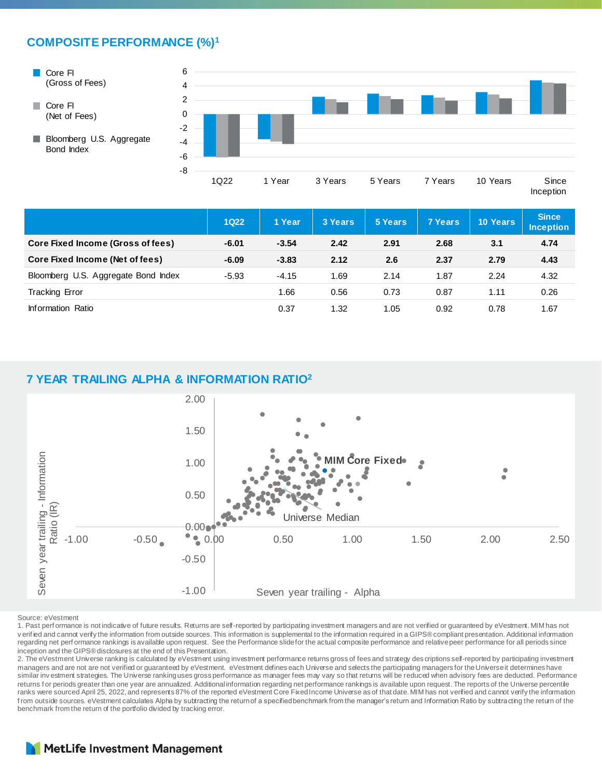#### **COMPOSITE PERFORMANCE (%)<sup>1</sup>**



|                                     | <b>1Q22</b> | 1 Year  | 3 Years | 5 Years | 7 Years | 10 Years | <b>Since</b><br><b>Inception</b> |
|-------------------------------------|-------------|---------|---------|---------|---------|----------|----------------------------------|
| Core Fixed Income (Gross of fees)   | $-6.01$     | $-3.54$ | 2.42    | 2.91    | 2.68    | 3.1      | 4.74                             |
| Core Fixed Income (Net of fees)     | $-6.09$     | $-3.83$ | 2.12    | 2.6     | 2.37    | 2.79     | 4.43                             |
| Bloomberg U.S. Aggregate Bond Index | $-5.93$     | $-4.15$ | 1.69    | 2.14    | 1.87    | 2.24     | 4.32                             |
| <b>Tracking Error</b>               |             | 1.66    | 0.56    | 0.73    | 0.87    | 1.11     | 0.26                             |
| Information Ratio                   |             | 0.37    | 1.32    | 1.05    | 0.92    | 0.78     | 1.67                             |

#### **7 YEAR TRAILING ALPHA & INFORMATION RATIO<sup>2</sup>**



Source: eVestment

1. Past perf ormance is not indicative of future results. Returns are self-reported by participating investment managers and are not verified or guaranteed by eVestment. MIM has not verified and cannot verify the information from outside sources. This information is supplemental to the information required in a GIPS® compliant presentation. Additional information<br>regarding net performance rankings is inception and the GIPS® disclosures at the end of this Presentation.

2. The eVestment Universe ranking is calculated by eVestment using investment performance returns gross of fees and strategy des criptions self-reported by participating investment managers and are not are not verified or guaranteed by eVestment. eVestment defines each Universe and selects the participating managers for the Universe it determines have similar inv estment strategies. The Universe ranking uses gross performance as manager fees may vary so that returns will be reduced when advisory fees are deducted. Performance returns for periods greater than one year are annualized. Additional information regarding net performance rankings is available upon request. The reports of the Universe percentile ranks were sourced April 25, 2022, and represents 87% of the reported eVestment Core Fixed Income Universe as of that date. MIM has not verified and cannot verify the information from outside sources. eVestment calculates Alpha by subtracting the return of a specified benchmark from the manager's return and Information Ratio by subtracting the return of the benchmark from the return of the portfolio divided by tracking error.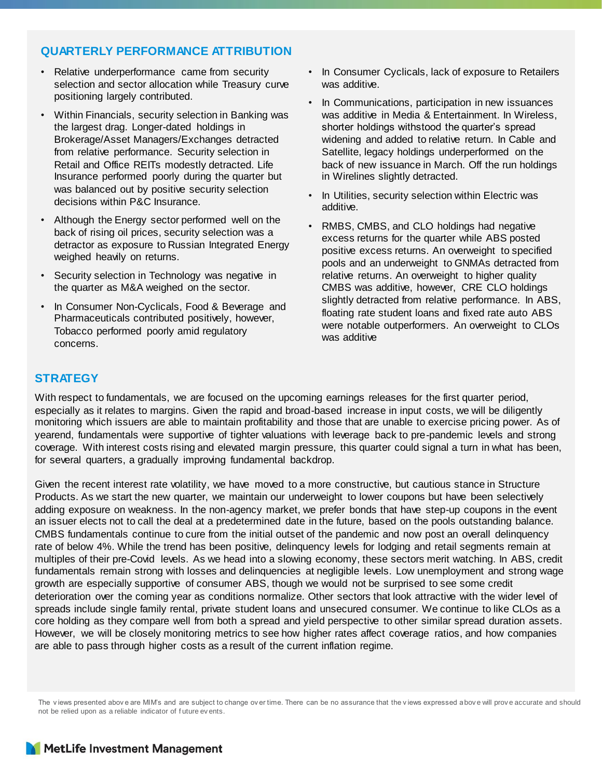#### **QUARTERLY PERFORMANCE ATTRIBUTION**

- Relative underperformance came from security selection and sector allocation while Treasury curve positioning largely contributed.
- Within Financials, security selection in Banking was the largest drag. Longer-dated holdings in Brokerage/Asset Managers/Exchanges detracted from relative performance. Security selection in Retail and Office REITs modestly detracted. Life Insurance performed poorly during the quarter but was balanced out by positive security selection decisions within P&C Insurance.
- Although the Energy sector performed well on the back of rising oil prices, security selection was a detractor as exposure to Russian Integrated Energy weighed heavily on returns.
- Security selection in Technology was negative in the quarter as M&A weighed on the sector.
- In Consumer Non-Cyclicals, Food & Beverage and Pharmaceuticals contributed positively, however, Tobacco performed poorly amid regulatory concerns.
- In Consumer Cyclicals, lack of exposure to Retailers was additive.
- In Communications, participation in new issuances was additive in Media & Entertainment. In Wireless, shorter holdings withstood the quarter's spread widening and added to relative return. In Cable and Satellite, legacy holdings underperformed on the back of new issuance in March. Off the run holdings in Wirelines slightly detracted.
- In Utilities, security selection within Electric was additive.
- RMBS, CMBS, and CLO holdings had negative excess returns for the quarter while ABS posted positive excess returns. An overweight to specified pools and an underweight to GNMAs detracted from relative returns. An overweight to higher quality CMBS was additive, however, CRE CLO holdings slightly detracted from relative performance. In ABS, floating rate student loans and fixed rate auto ABS were notable outperformers. An overweight to CLOs was additive

#### **STRATEGY**

With respect to fundamentals, we are focused on the upcoming earnings releases for the first quarter period, especially as it relates to margins. Given the rapid and broad-based increase in input costs, we will be diligently monitoring which issuers are able to maintain profitability and those that are unable to exercise pricing power. As of yearend, fundamentals were supportive of tighter valuations with leverage back to pre-pandemic levels and strong coverage. With interest costs rising and elevated margin pressure, this quarter could signal a turn in what has been, for several quarters, a gradually improving fundamental backdrop.

Given the recent interest rate volatility, we have moved to a more constructive, but cautious stance in Structure Products. As we start the new quarter, we maintain our underweight to lower coupons but have been selectively adding exposure on weakness. In the non-agency market, we prefer bonds that have step-up coupons in the event an issuer elects not to call the deal at a predetermined date in the future, based on the pools outstanding balance. CMBS fundamentals continue to cure from the initial outset of the pandemic and now post an overall delinquency rate of below 4%. While the trend has been positive, delinquency levels for lodging and retail segments remain at multiples of their pre-Covid levels. As we head into a slowing economy, these sectors merit watching. In ABS, credit fundamentals remain strong with losses and delinquencies at negligible levels. Low unemployment and strong wage growth are especially supportive of consumer ABS, though we would not be surprised to see some credit deterioration over the coming year as conditions normalize. Other sectors that look attractive with the wider level of spreads include single family rental, private student loans and unsecured consumer. We continue to like CLOs as a core holding as they compare well from both a spread and yield perspective to other similar spread duration assets. However, we will be closely monitoring metrics to see how higher rates affect coverage ratios, and how companies are able to pass through higher costs as a result of the current inflation regime.

The v iews presented abov e are MIM's and are subject to change ov er time. There can be no assurance that the v iews expressed abov e will prov e accurate and should not be relied upon as a reliable indicator of f uture ev ents.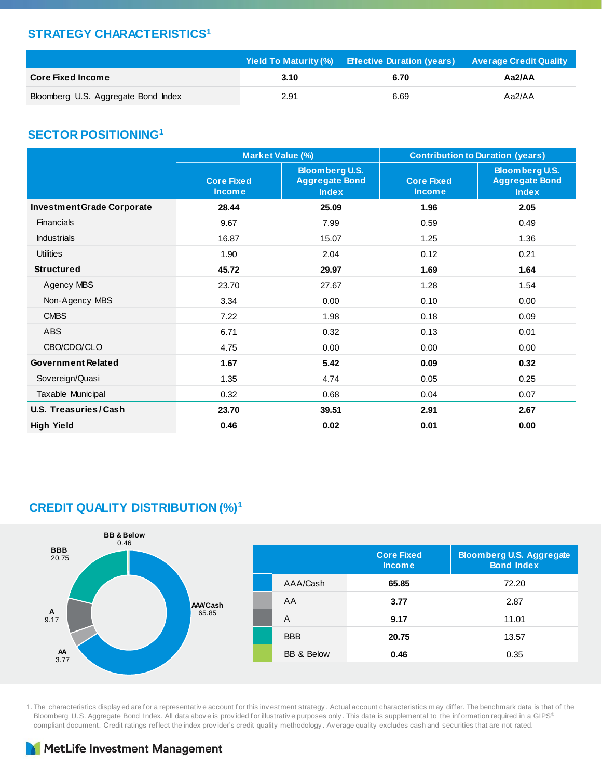#### **STRATEGY CHARACTERISTICS<sup>1</sup>**

|                                     |      | │ Yield To Maturity (%) │ Effective Duration (years) │ Average Credit Quality |        |
|-------------------------------------|------|-------------------------------------------------------------------------------|--------|
| <b>Core Fixed Income</b>            | 3.10 | 6.70                                                                          | Aa2/AA |
| Bloomberg U.S. Aggregate Bond Index | 2.91 | 6.69                                                                          | Aa2/AA |

#### **SECTOR POSITIONING<sup>1</sup>**

|                                   |                                    | Market Value (%)                                               | <b>Contribution to Duration (years)</b> |                                                                |  |  |
|-----------------------------------|------------------------------------|----------------------------------------------------------------|-----------------------------------------|----------------------------------------------------------------|--|--|
|                                   | <b>Core Fixed</b><br><b>Income</b> | <b>Bloomberg U.S.</b><br><b>Aggregate Bond</b><br><b>Index</b> | <b>Core Fixed</b><br><b>Income</b>      | <b>Bloomberg U.S.</b><br><b>Aggregate Bond</b><br><b>Index</b> |  |  |
| <b>Investment Grade Corporate</b> | 28.44                              | 25.09                                                          | 1.96                                    | 2.05                                                           |  |  |
| <b>Financials</b>                 | 9.67                               | 7.99                                                           | 0.59                                    | 0.49                                                           |  |  |
| <b>Industrials</b>                | 16.87                              | 15.07                                                          | 1.25                                    | 1.36                                                           |  |  |
| <b>Utilities</b>                  | 1.90                               | 2.04                                                           | 0.12                                    | 0.21                                                           |  |  |
| <b>Structured</b>                 | 45.72                              | 29.97                                                          | 1.69                                    | 1.64                                                           |  |  |
| Agency MBS                        | 23.70                              | 27.67                                                          | 1.28                                    | 1.54                                                           |  |  |
| Non-Agency MBS                    | 3.34                               | 0.00                                                           | 0.10                                    | 0.00                                                           |  |  |
| <b>CMBS</b>                       | 7.22                               | 1.98                                                           | 0.18                                    | 0.09                                                           |  |  |
| ABS                               | 6.71                               | 0.32                                                           | 0.13                                    | 0.01                                                           |  |  |
| CBO/CDO/CLO                       | 4.75                               | 0.00                                                           | 0.00                                    | 0.00                                                           |  |  |
| Government Related                | 1.67                               | 5.42                                                           | 0.09                                    | 0.32                                                           |  |  |
| Sovereign/Quasi                   | 1.35                               | 4.74                                                           | 0.05                                    | 0.25                                                           |  |  |
| Taxable Municipal                 | 0.32                               | 0.68                                                           | 0.04                                    | 0.07                                                           |  |  |
| U.S. Treasuries/Cash              | 23.70                              | 39.51                                                          | 2.91                                    | 2.67                                                           |  |  |
| <b>High Yield</b>                 | 0.46                               | 0.02                                                           | 0.01                                    | 0.00                                                           |  |  |

### **CREDIT QUALITY DISTRIBUTION (%)<sup>1</sup>**



1. The characteristics display ed are for a representative account for this investment strategy. Actual account characteristics may differ. The benchmark data is that of the Bloomberg U.S. Aggregate Bond Index. All data above is provided for illustrative purposes only. This data is supplemental to the information required in a GIPS® compliant document. Credit ratings ref lect the index prov ider's credit quality methodology . Av erage quality excludes cash and securities that are not rated.

### MetLife Investment Management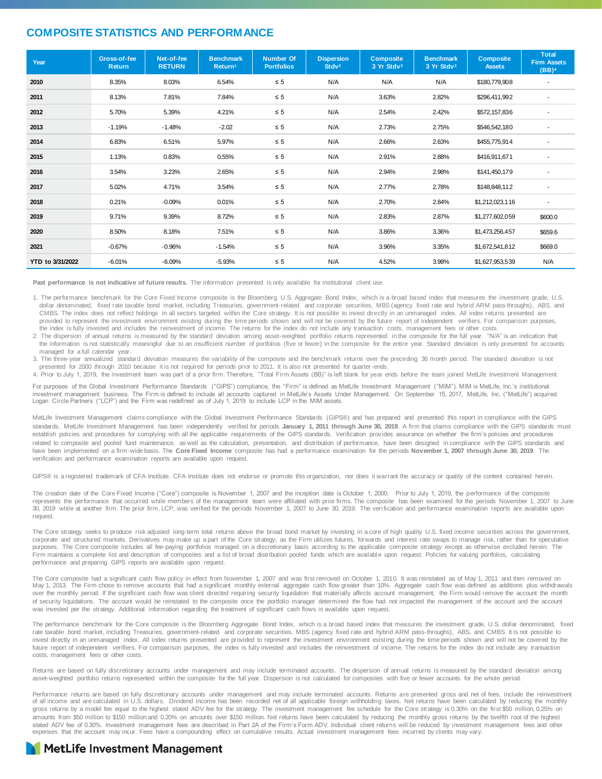#### **COMPOSITE STATISTICS AND PERFORMANCE**

| Year             | Gross-of-fee<br><b>Return</b> | Net-of-fee<br><b>RETURN</b> | <b>Benchmark</b><br>Return <sup>1</sup> | <b>Number Of</b><br><b>Portfolios</b> | <b>Dispersion</b><br>Stdv <sup>2</sup> | <b>Composite</b><br>3 Yr Stdv3 | <b>Benchmark</b><br>3 Yr Stdv3 | <b>Composite</b><br><b>Assets</b> | <b>Total</b><br><b>Firm Assets</b><br>(BB) <sup>4</sup> |
|------------------|-------------------------------|-----------------------------|-----------------------------------------|---------------------------------------|----------------------------------------|--------------------------------|--------------------------------|-----------------------------------|---------------------------------------------------------|
| 2010             | 8.35%                         | 8.03%                       | 6.54%                                   | $\leq 5$                              | N/A                                    | N/A                            | N/A                            | \$180,779,908                     | ٠                                                       |
| 2011             | 8.13%                         | 7.81%                       | 7.84%                                   | $\leq 5$                              | N/A                                    | 3.63%                          | 2.82%                          | \$296,411,992                     | ٠                                                       |
| 2012             | 5.70%                         | 5.39%                       | 4.21%                                   | $\leq 5$                              | N/A                                    | 2.54%                          | 2.42%                          | \$572,157,836                     | $\overline{\phantom{a}}$                                |
| 2013             | $-1.19%$                      | $-1.48%$                    | $-2.02$                                 | $\leq 5$                              | N/A                                    | 2.73%                          | 2.75%                          | \$546,542,180                     | ٠                                                       |
| 2014             | 6.83%                         | 6.51%                       | 5.97%                                   | $\leq 5$                              | N/A                                    | 2.66%                          | 2.63%                          | \$455,775,914                     | $\blacksquare$                                          |
| 2015             | 1.13%                         | 0.83%                       | 0.55%                                   | $\leq 5$                              | N/A                                    | 2.91%                          | 2.88%                          | \$416,911,671                     |                                                         |
| 2016             | 3.54%                         | 3.23%                       | 2.65%                                   | $\leq 5$                              | N/A                                    | 2.94%                          | 2.98%                          | \$141,450,179                     | ٠                                                       |
| 2017             | 5.02%                         | 4.71%                       | 3.54%                                   | $\leq 5$                              | N/A                                    | 2.77%                          | 2.78%                          | \$148,848,112                     | $\overline{\phantom{a}}$                                |
| 2018             | 0.21%                         | $-0.09%$                    | 0.01%                                   | $\leq 5$                              | N/A                                    | 2.70%                          | 2.84%                          | \$1,212,023,116                   | $\blacksquare$                                          |
| 2019             | 9.71%                         | 9.39%                       | 8.72%                                   | $\leq 5$                              | N/A                                    | 2.83%                          | 2.87%                          | \$1,277,602,059                   | \$600.0                                                 |
| 2020             | 8.50%                         | 8.18%                       | 7.51%                                   | $\leq 5$                              | N/A                                    | 3.86%                          | 3.36%                          | \$1,473,256,457                   | \$659.6                                                 |
| 2021             | $-0.67%$                      | $-0.96%$                    | $-1.54%$                                | $\leq 5$                              | N/A                                    | 3.96%                          | 3.35%                          | \$1,672,541,812                   | \$669.0                                                 |
| YTD to 3/31/2022 | $-6.01%$                      | $-6.09%$                    | $-5.93%$                                | $\leq 5$                              | N/A                                    | 4.52%                          | 3.98%                          | \$1,627,953,539                   | N/A                                                     |

**Past performance is not indicative of future results.** The information presented is only available for institutional client use.

1. The performance benchmark for the Core Fixed Income composite is the Bloomberg U.S. Aggregate Bond Index, which is a broad based index that measures the investment grade, U.S. dollar denominated, fixed rate taxable bond market, including Treasuries, government-related and corporate securities, MBS (agency fixed rate and hybrid ARM pass-throughs), ABS, and CMBS. The index does not reflect holdings in all sectors targeted within the Core strategy. It is not possible to invest directly in an unmanaged index. All index returns presented are provided to represent the investment environment existing during the time periods shown and will not be covered by the future report of independent verifiers. For comparison purposes, the index is fully invested and includes the reinvestment of income. The returns for the index do not include any transaction costs, management fees or other costs.

2. The dispersion of annual returns is measured by the standard deviation among asset-weighted portfolio returns represented in the composite for the full year. "N/A" is an indication that the information is not statistically meaningful due to an insufficient number of portfolios (five or fewer) in the composite for the entire year. Standard deviation is only presented for accounts managed for a full calendar year.

3. The three-year annualized standard deviation measures the variability of the composite and the benchmark returns over the preceding 36 month period. The standard deviation is not presented for 2000 through 2010 because it is not required for periods prior to 2011. It is also not presented for quarter-ends.

4. Prior to July 1, 2019, the investment team was part of a prior firm. Therefore, "Total Firm Assets (BB)" is left blank for year ends before the team joined MetLife Investment Management.

For purposes of the Global Investment Performance Standards ("GIPS") compliance, the "Firm" is defined as MetLife Investment Management ("MIM"). MIM is MetLife, Inc.'s institutional investment management business. The Firm is defined to include all accounts captured in MetLife's Assets Under Management. On September 15, 2017, MetLife, Inc. ("MetLife") acquired Logan Circle Partners ("LCP") and the Firm was redefined as of July 1, 2019 to include LCP in the MIM assets.

MetLife Investment Management claims compliance with the Global Investment Performance Standards (GIPS®) and has prepared and presented this report in compliance with the GIPS standards. MetLife Investment Management has been independently verified for periods January 1, 2011 through June 30, 2019. A firm that claims compliance with the GIPS standards must establish policies and procedures for complying with all the applicable requirements of the GIPS standards. Verification provides assurance on whether the firm's policies and procedures related to composite and pooled fund maintenance, as well as the calculation, presentation, and distribution of performance, have been designed in compliance with the GIPS standards and have been implemented on a firm-wide basis. The **Core Fixed Income** composite has had a performance examination for the periods **November 1, 2007 through June 30, 2019**. The verification and performance examination reports are available upon request.

GIPS® is a registered trademark of CFA Institute. CFA Institute does not endorse or promote this organization, nor does it warrant the accuracy or quality of the content contained herein.

The creation date of the Core Fixed Income ("Core") composite is November 1, 2007 and the inception date is October 1, 2000. Prior to July 1, 2019, the performance of the composite represents the performance that occurred while members of the management team were affiliated with prior firms. The composite has been examined for the periods November 1, 2007 to June 30, 2019 while at another firm. The prior firm, LCP, was verified for the periods November 1, 2007 to June 30, 2019. The veri fication and performance examination reports are available upon request.

The Core strategy seeks to produce risk adjusted long-term total returns above the broad bond market by investing in a core of high quality U.S. fixed income securities across the government, corporate and structured markets. Derivatives may make up a part of the Core strategy, as the Firm utilizes futures, forwards and interest rate swaps to manage risk, rather than for speculative purposes. The Core composite includes all fee-paying portfolios managed on a discretionary basis according to the applicable composite strategy except as otherwise excluded herein. The Firm maintains a complete list and description of composites and a list of broad distribution pooled funds which are available upon request. Policies for valuing portfolios, calculating performance and preparing GIPS reports are available upon request.

The Core composite had a significant cash flow policy in effect from November 1, 2007 and was first removed on October 1, 2010. It was reinstated as of May 1, 2011 and then removed on May 1, 2013. The Firm chose to remove accounts that had a significant monthly external aggregate cash flow greater than 10%. Aggregate cash flow was defined as additions plus withdrawals<br>over the monthly period. If the sig of security liquidations. The account would be reinstated to the composite once the portfolio manager determined the flow had not impacted the management of the account and the account was invested per the strategy. Additional information regarding the treatment of significant cash flows is available upon request.

The performance benchmark for the Core composite is the Bloomberg Aggregate Bond Index, which is a broad based index that measures the investment grade, U.S. dollar denominated, fixed rate taxable bond market, including Treasuries, government-related and corporate securities, MBS (agency fixed rate and hybrid ARM pass-throughs), ABS, and CMBS. It is not possible to invest directly in an unmanaged index. All index returns presented are provided to represent the investment environment existing during the time periods shown and will not be covered by the future report of independent verifiers. For comparison purposes, the index is fully invested and includes the reinvestment of income. The returns for the index do not include any transaction costs, management fees or other costs.

Returns are based on fully discretionary accounts under management and may include terminated accounts. The dispersion of annual returns is measured by the standard deviation among asset-weighted portfolio returns represented within the composite for the full year. Dispersion is not calculated for composites with five or fewer accounts for the whole period.

Performance returns are based on fully discretionary accounts under management and may include terminated accounts. Returns are presented gross and net of fees, include the reinvestment of all income and are calculated in U.S. dollars. Dividend income has been recorded net of all applicable foreign withholding taxes. Net returns have been calculated by reducing the monthly gross returns by a model fee equal to the highest stated ADV fee for the strategy. The investment management fee schedule for the Core strategy is 0.30% on the first \$50 million, 0.25% on amounts from \$50 million to \$150 million and 0.20% on amounts over \$150 million. Net returns have been calculated by reducing the monthly gross returns by the twelfth root of the highest stated ADV fee of 0.30%. Investment management fees are described in Part 2A of the Firm's Form ADV. Individual client returns will be reduced by investment management fees and other<br>expenses that the account may incur. Fe

#### **MetLife Investment Management**